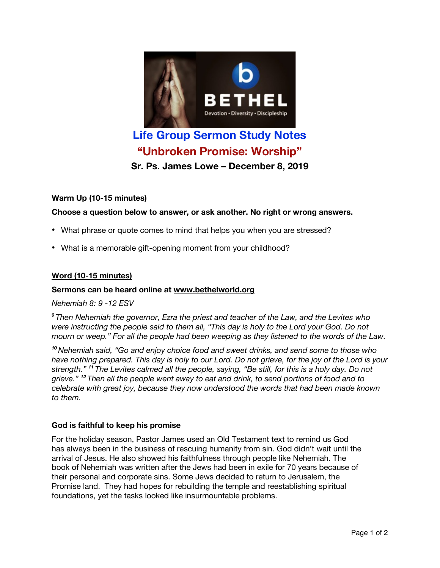

# **Life Group Sermon Study Notes "Unbroken Promise: Worship"**

**Sr. Ps. James Lowe – December 8, 2019**

# **Warm Up (10-15 minutes)**

# **Choose a question below to answer, or ask another. No right or wrong answers.**

- What phrase or quote comes to mind that helps you when you are stressed?
- What is a memorable gift-opening moment from your childhood?

# **Word (10-15 minutes)**

## **Sermons can be heard online at www.bethelworld.org**

*Nehemiah 8: 9 -12 ESV*

*<sup>9</sup> Then Nehemiah the governor, Ezra the priest and teacher of the Law, and the Levites who* were instructing the people said to them all, "This day is holy to the Lord your God. Do not mourn or weep." For all the people had been weeping as they listened to the words of the Law.

*<sup>10</sup> Nehemiah said, "Go and enjoy choice food and sweet drinks, and send some to those who* have nothing prepared. This day is holy to our Lord. Do not grieve, for the joy of the Lord is your strength." <sup>11</sup> The Levites calmed all the people, saying, "Be still, for this is a holy day. Do not *grieve." <sup>12</sup> Then all the people went away to eat and drink, to send portions of food and to celebrate with great joy, because they now understood the words that had been made known to them.*

## **God is faithful to keep his promise**

For the holiday season, Pastor James used an Old Testament text to remind us God has always been in the business of rescuing humanity from sin. God didn't wait until the arrival of Jesus. He also showed his faithfulness through people like Nehemiah. The book of Nehemiah was written after the Jews had been in exile for 70 years because of their personal and corporate sins. Some Jews decided to return to Jerusalem, the Promise land. They had hopes for rebuilding the temple and reestablishing spiritual foundations, yet the tasks looked like insurmountable problems.